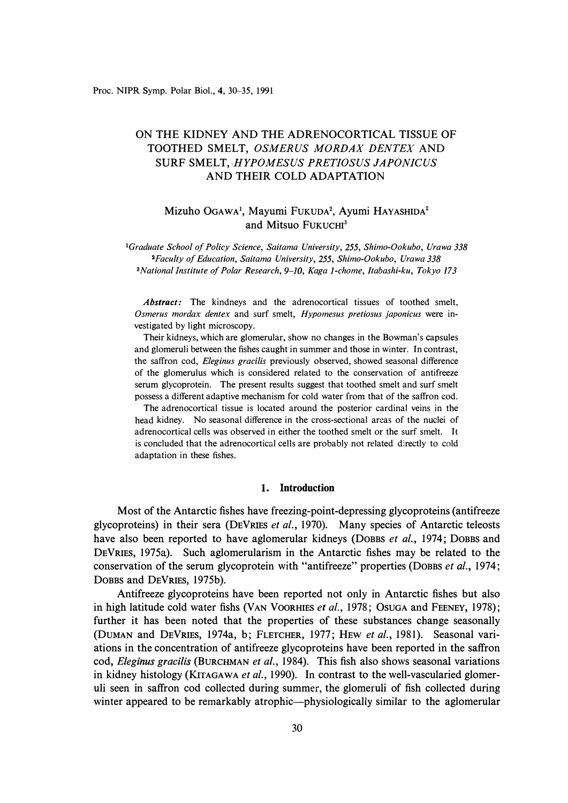# ON THE KIDNEY AND THE ADRENOCORTICAL TISSUE OF TOOTHED SMELT, *OSMERUS MORDAX DENTEX* AND SURF SMELT, *HYPOMESUS PRETIOSUS JAPONICUS*  AND THEIR COLD ADAPTATION

# Mizuho OGAWA<sup>1</sup>, Mayumi FUKUDA<sup>2</sup>, Ayumi HAYASHIDA<sup>2</sup> and Mitsuo FuKUCHI**<sup>3</sup>**

*<sup>1</sup>Graduate School of Policy Science, Saitama University, 255, Shimo-Ookubo, Urawa 338 2Faculty of Education, Saitama University, 255, Shimo-Ookubo, Urawa 338 SNational Institute of Polar Research, 9-10, Kaga 1-chome, ltabashi-ku, Tokyo 173* 

*Abstract:* The kindneys and the adrenocortical tissues of toothed smelt, *Osmerus mordax dentex* and surf smelt, *Hypomesus pretiosus japonicus* were investigated by light microscopy.

Their kidneys, which are glomerular, show no changes in the Bowman's capsules and glomeruli between the fishes caught in summer and those in winter. In contrast, the saffron cod, *Eleginus gracilis* previously observed, showed seasonal difference of the glomerulus which is considered related to the conservation of antifreeze serum glycoprotein. The present results suggest that toothed smelt and surf smelt possess a different adaptive mechanism for cold water from that of the saffron cod.

The adrenocortical tissue is located around the posterior cardinal veins in the head kidney. No seasonal difference in the cross-sectional areas of the nuclei of adrenocortical cells was observed in either the toothed smelt or the surf smelt. It is concluded that the adrenocortical cells are probably not related directly to cold adaptation in these fishes.

### **1. Introduction**

Most of the Antarctic fishes have freezing-point-depressing glycoproteins (antifreeze glycoproteins) in their sera (DEVRIES *et al.,* 1970). Many species of Antarctic teleosts have also been reported to have aglomerular kidneys (DOBBS *et al.,* 1974; DOBBS and DEVRIES, 1975a). Such aglomerularism in the Antarctic fishes may be related to the conservation of the serum glycoprotein with "antifreeze" properties (DOBBS *et al.,* 1974; DOBBS and DEVRIES, 1975b).

Antifreeze glycoproteins have been reported not only in Antarctic fishes but also in high latitude cold water fishs (VAN VOORHIES *et al.,* 1978; OSUGA and FEENEY, 1978); further it has been noted that the properties of these substances change seasonally (DUMAN and DEVRIES, 1974a, b; FLETCHER, 1977; HEW *et al.,* 1981). Seasonal variations in the concentration of antifreeze glycoproteins have been reported in the saffron cod, *Eleginus gracilis* (BURCHMAN *et al.,* 1984). This fish also shows seasonal variations in kidney histology (KITAGAWA *et al.,* 1990). In contrast to the well-vascularied glomeruli seen in saffron cod collected during summer, the glomeruli of fish collected during winter appeared to be remarkably atrophic—physiologically similar to the aglomerular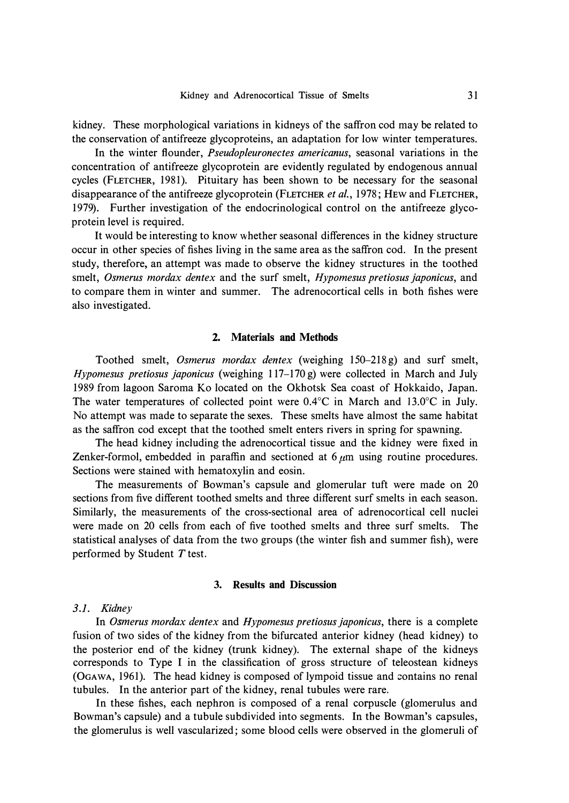**kidney. These morphological variations in kidneys of the saffron cod may be related to the conservation of antifreeze glycoproteins, an adaptation for low winter temperatures.** 

**In the winter flounder,** *Pseudopleuronectes americanus,* **seasonal variations in the concentration of antifreeze glycoprotein are evidently regulated by endogenous annual**  cycles (FLETCHER, 1981). Pituitary has been shown to be necessary for the seasonal **disappearance of the antifreeze glycoprotein (FLETCHER** *et al.,* **1978; HEW and FLETCHER, 1979). Further investigation of the endocrinological control on the antifreeze glycoprotein level is required.** 

**It would be interesting to know whether seasonal differences in the kidney structure occur in other species of fishes living in the same area as the saffron cod. In the present study, therefore, an attempt was made to observe the kidney structures in the toothed smelt,** *Osmerus mordax dentex* **and the surf smelt,** *Hypomesus pretiosus japonicus,* **and to compare them in winter and summer. The adrenocortical cells in both fishes were also investigated.** 

### **2. Materials and Methods**

**Toothed smelt,** *Osmerus mordax dentex* **(weighing 150-2 18 g) and surf smelt,**  *Hypomesus pretiosus japonicus* (weighing 117–170 g) were collected in March and July **1989 from lagoon Saroma Ko located on the Okhotsk Sea coast of Hokkaido, Japan.**  The water temperatures of collected point were 0.4°C in March and 13.0°C in July. **No attempt was made to separate the sexes. These sme1ts have almost the same habitat as the saffron cod except that the toothed sme1t enters rivers in spring for spawning.** 

**The head kidney including the adrenocortical tissue and the kidney were fixed in Zenker-formol, embedded in paraffin and sectioned at**  $6 \mu m$  **using routine procedures. Sections were stained with hematoxylin and eosin.** 

**The measurements of Bowman's capsule and glomerular tuft were made on 20 sections from five different toothed smelts and three different surf smelts in each season. Similarly, the measurements of the cross-sectional area of adrenocortical cell nuclei were made on 20 cells from each of five toothed smelts and three surf smelts. The statistical analyses of data from the two groups (the winter fish and summer fish), were performed by Student** *T* **test.** 

### **3. Results and Discussion**

### *3.1. Kidney*

**In** *Osmerus mordax dentex* **and** *Hypomesus pretiosus japonicus,* **there is a complete fusion of two sides of the kidney from the bifurcated anterior kidney (head kidney) to the posterior end of the kidney (trunk kidney). The external shape of the kidneys corresponds to Type I in the classification of gross structure of teleostean kidneys (OGAWA, 1961). The head kidney is composed of lympoid tissue and contains no renal tubules. In the anterior part of the kidney, renal tubules were rare.** 

**In these fishes, each nephron is composed of a renal corpuscle (glomerulus and Bowman's capsule) and a tubule subdivided into segments. In the Bowman's capsules, the glomerulus is well vascularized; some blood cells were observed in the glomeruli of**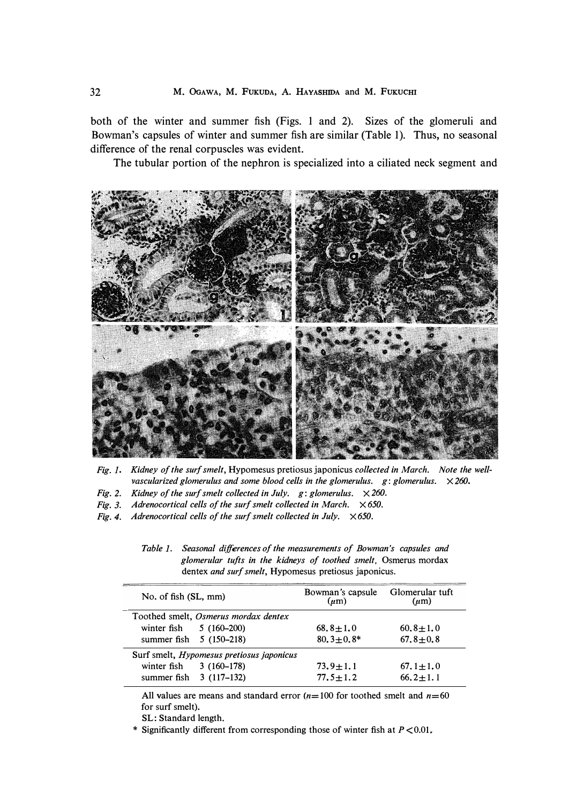**both of the winter and summer fish (Figs. 1 and 2). Sizes of the glomeruli and Bowman's capsules of winter and summer fish are similar (Table 1). Thus, no seasonal difference of the renal corpuscles was evident.** 

**The tubular portion of the nephron is specialized into a ciliated neck segment and** 



- *Fig. J. Kidney of the surf smelt,* Hypomesus pretiosus japonicus *collected in March. Note the wellvascularized glomerulus and some blood cells in the glomerulus. g: glomerulus. X 260.*
- *Fig. 2. Kidney of the surf smelt collected in July. g: glomerulus. X 260.*
- *Fig. 3. Adrenocortical cells of the surf smelt collected in March. X 650.*
- *Fig. 4. Adrenocortical cells of the surf smelt collected in July. X 650.*

| Table 1. | Seasonal differences of the measurements of Bowman's capsules and |  |  |
|----------|-------------------------------------------------------------------|--|--|
|          | glomerular tufts in the kidneys of toothed smelt, Osmerus mordax  |  |  |
|          | dentex <i>and surf smelt</i> , Hypomesus pretiosus japonicus.     |  |  |

| No. of fish (SL, mm)                      |              | Bowman's capsule<br>$(\mu m)$ | Glomerular tuft<br>$(\mu m)$ |  |  |
|-------------------------------------------|--------------|-------------------------------|------------------------------|--|--|
| Toothed smelt, Osmerus mordax dentex      |              |                               |                              |  |  |
| winter fish                               | $5(160-200)$ | $68.8 \pm 1.0$                | $60.8 \pm 1.0$               |  |  |
| summer fish 5 (150-218)                   |              | $80.3 \pm 0.8^*$              | $67.8 \pm 0.8$               |  |  |
| Surf smelt, Hypomesus pretiosus japonicus |              |                               |                              |  |  |
| winter fish                               | $3(160-178)$ | $73.9 \pm 1.1$                | $67.1 \pm 1.0$               |  |  |
| summer fish 3 (117-132)                   |              | $77.5 \pm 1.2$                | $66.2 \pm 1.1$               |  |  |

All values are means and standard error  $(n=100$  for toothed smelt and  $n=60$ for surf smelt).

SL: Standard length.

\* Significantly different from corresponding those of winter fish at *P* <0.01.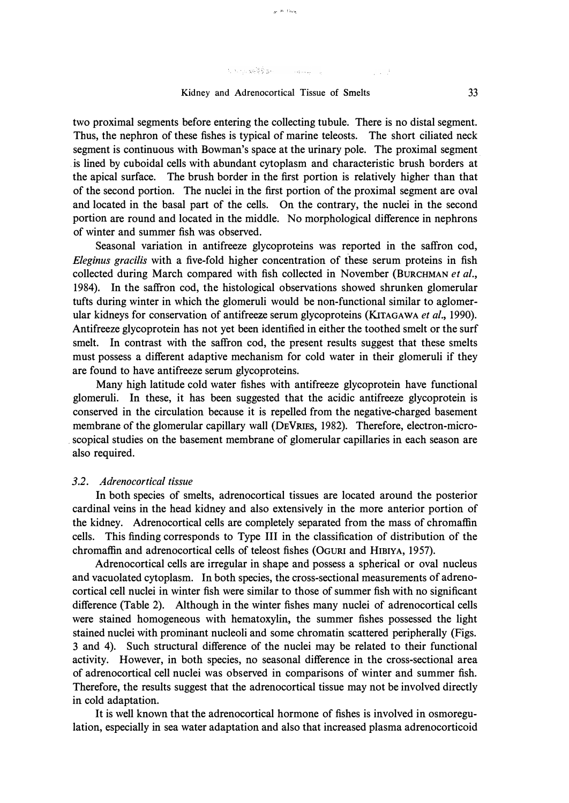## $\lambda_1(\delta_1,\gamma_2) \leq \log \left( \frac{N}{2} \right) \sum_{i=1}^n \sum_{j=1}^n \left( \frac{1}{N} \sum_{i=1}^n \sum_{j=1}^n \frac{1}{N} \right) \left( \frac{1}{N} \sum_{i=1}^n \sum_{j=1}^n \frac{1}{N} \right) \left( \frac{1}{N} \sum_{i=1}^n \sum_{j=1}^n \frac{1}{N} \right) \left( \frac{1}{N} \sum_{i=1}^n \sum_{j=1}^n \frac{1}{N} \right) \left( \frac{1}{N} \sum_{i=1}^n$

## Kidney and Adrenocortical Tissue of Smelts 33

 $x^{-(k-1)\alpha\alpha}$ 

two proximal segments before entering the collecting tubule. There is no distal segment. Thus, the nephron of these fishes is typical of marine teleosts. The short ciliated neck segment is continuous with Bowman's space at the urinary pole. The proximal segment . is lined by cuboidal cells with abundant cytoplasm and characteristic brush borders at the apical surface. The brush border in the first portion is relatively higher than that of the second portion. The nuclei in the first portion of the proximal segment are oval and located in the basal part of the cells. On the contrary, the nuclei in the second portion are round and located in the middle. No morphological difference in nephrons of winter and summer fish was observed.

Seasonal variation in antifreeze glycoproteins was reported in the saffron cod, *Eleginus gracilis* with a five-fold higher concentration of these serum proteins in fish collected during March compared with fish collected in November (BURCHMAN *et al.,*  1984). In the saffron cod, the histological observations showed shrunken glomerular tufts during winter in which the glomeruli would be non-functional similar to aglomerular kidneys for conservation of antifreeze serum glycoproteins (KITAGAWA *et al.,* 1990). Antifreeze glycoprotein has not yet been identified in either the toothed smelt or the surf smelt. **In** contrast with the saffron cod, the present results suggest that these smelts must possess a different adaptive mechanism for cold water in their glomeruli if they are found to have antifreeze serum glycoproteins.

Many high latitude cold water fishes with antifreeze glycoprotein have functional glomeruli. **In** these, it has been suggested that the acidic antifreeze glycoprotein is conserved in the circulation because it is repelled from the negative-charged basement membrane of the glomerular capillary wall **(DEVRIES,** 1982). Therefore, electron-micro scopical studies on the basement membrane of glomerular capillaries in each season are also required.

#### *3 .2. Adrenocortical tissue*

**In** both species of smelts, adrenocortical tissues are located around the posterior cardinal veins in the head kidney and also extensively in the more anterior portion of the kidney. Adrenocortical cells are completely separated from the mass of chromaffin cells. This finding corresponds to Type III in the classification of distribution of the chromaffin and adrenocortical cells of teleost fishes (OGURI and HIBIYA, 1957).

Adrenocortical cells are irregular in shape and possess a spherical or oval nucleus and vacuolated cytoplasm. In both species, the cross-sectional measurements of adrenocortical cell nuclei in winter fish were similar to those of summer fish with no significant difference (Table 2). Although in the winter fishes many nuclei of adrenocortical cells were stained homogeneous with hematoxylin, the summer fishes possessed the light stained nuclei with prominant nucleoli and some chromatin scattered peripherally (Figs. 3 and 4). Such structural difference of the nuclei may be related to their functional activity. However, in both species, no seasonal difference in the cross-sectional area of adrenocortical cell nuclei was observed in comparisons of winter and summer fish. Therefore, the results suggest that the adrenocortical tissue may not be involved directly in cold adaptation.

It is well known that the adrenocortical hormone of fishes is involved in osmoregulation, especially in sea water adaptation and also that increased plasma adrenocorticoid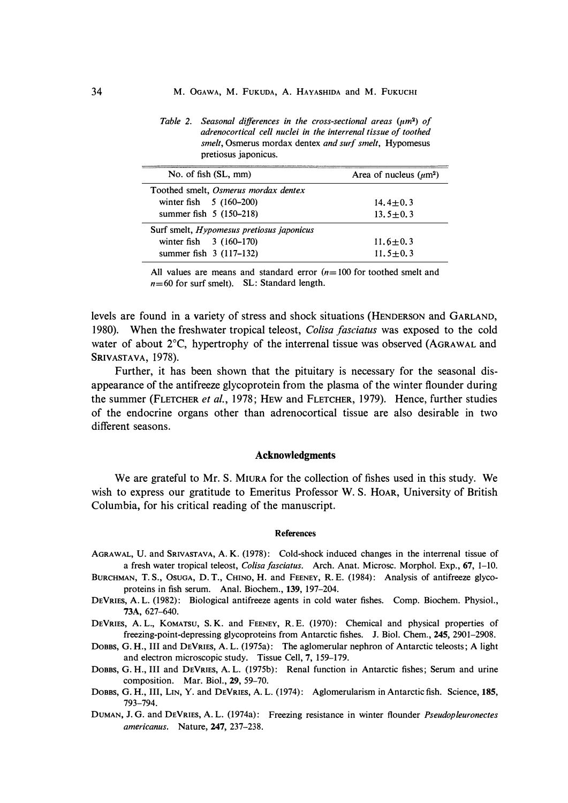*Table 2. Seasonal differences in the cross-sectional areas (µm<sup>2</sup> ) of adrenocortical cell nuclei in the interrenal tissue of toothed smelt,* Osmerus mordax dentex *and surf smelt,* Hypomesus pretiosus japonicus.

| No. of fish (SL, mm)                             | Area of nucleus $(\mu m^2)$ |  |  |
|--------------------------------------------------|-----------------------------|--|--|
| Toothed smelt, Osmerus mordax dentex             |                             |  |  |
| winter fish 5 (160-200)                          | $14.4 \pm 0.3$              |  |  |
| summer fish 5 (150-218)                          | $13.5 \pm 0.3$              |  |  |
| Surf smelt, <i>Hypomesus pretiosus japonicus</i> |                             |  |  |
| winter fish $3(160-170)$                         | $11.6 \pm 0.3$              |  |  |
| summer fish 3 (117-132)                          | $11.5 \pm 0.3$              |  |  |

All values are means and standard error  $(n=100$  for toothed smelt and  $n=60$  for surf smelt). SL: Standard length.

levels are found in a variety of stress and shock situations (HENDERSON and GARLAND, 1980). When the freshwater tropical teleost, *Colisa fasciatus* was exposed to the cold water of about 2 °C, hypertrophy of the interrenal tissue was observed (AGRAWAL and **SRIVASTAVA, 1978).** 

Further, it has been shown that the pituitary is necessary for the seasonal disappearance of the antifreeze glycoprotein from the plasma of the winter flounder during the summer (FLETCHER *et al.,* 1978; HEW and FLETCHER, 1979). Hence, further studies of the endocrine organs other than adrenocortical tissue are also desirable in two different seasons.

### **Acknowledgments**

We are grateful to Mr. S. MIURA for the collection of fishes used in this study. We wish to express our gratitude to Emeritus Professor W. S. HOAR, University of British Columbia, for his critical reading of the manuscript.

#### *References*

- AGRAWAL, U. and SRIVASTAVA, A. *K.* (1978): Cold-shock induced changes in the interrenal tissue of a fresh water tropical teleost, *Colisa fasciatus.* Arch. Anat. Microsc. Morphol. Exp., 67, 1-10.
- BURCHMAN, T. S., OSUGA, D. T., CHINO, H. and FEENEY, R. E. (1984): Analysis of antifreeze glycoproteins in fish serum. Anal. Biochem., *139,* 197-204.
- DEVRIES, A. *L.* (1982): Biological antifreeze agents in cold water fishes. Comp. Biochem. Physiol., *73A,* 627-640.
- DEVRIES, A. *L.,* KOMATSU, **s.** *K.* and FEENEY, **R.** E. (1970): Chemical and physical properties of freezing-point-depressing glycoproteins from Antarctic fishes. **J.** Biol. Chem., *245,* 2901-2908.
- DOBBS, **G. H., III** and DEVRIES, A. *L.* (1975a): The aglomerular nephron of Antarctic teleosts; A light and electron microscopic study. Tissue Cell, 7, 159-179.
- DOBBS, **G.** H., **III** and DEVRIES, **A.** *L.* (1975b): Renal function in Antarctic fishes; Serum and urine composition. Mar. Biol., *29,* 59-70.
- DOBBS, **G.** *H.,* **III,** LIN, **Y.** and DEVRIES, A. *L.* (1974): Aglomerularism in Antarctic fish. Science, *185,*  793-794.
- DUMAN, **J. G.** and DEVRIES, A. *L.* (1974a): Freezing resistance in winter flounder *Pseudopleuronectes americanus.* Nature, *247,* 237-238.